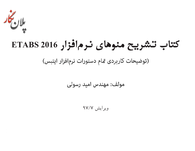

**كتاب تشريح منوهاي نرمافزار 2016 ETABS**

(توضیحات کاربردی تمام دستورات نرمافزار ایتبس)

مولف: مهندس اميد رسولي

ويرايش 97/7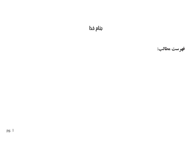**بنام خدا**

**فهرست مطالب:**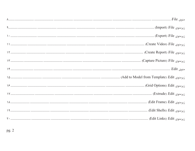| زيرمنوى Add to Model from Template) :Edit. (Add to Model from Template): |
|--------------------------------------------------------------------------|
|                                                                          |
|                                                                          |
|                                                                          |
| زيرمنوي Edit Shells)؛ (Edit Shells).                                     |
|                                                                          |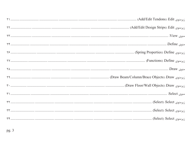| زيرمنوي Add/Edit Tendons) :Edit). (Add/Edit Tendons) :.                                                                                                                                                                       |
|-------------------------------------------------------------------------------------------------------------------------------------------------------------------------------------------------------------------------------|
|                                                                                                                                                                                                                               |
|                                                                                                                                                                                                                               |
|                                                                                                                                                                                                                               |
|                                                                                                                                                                                                                               |
| 77 (Functions) Define (Functions).                                                                                                                                                                                            |
|                                                                                                                                                                                                                               |
|                                                                                                                                                                                                                               |
|                                                                                                                                                                                                                               |
|                                                                                                                                                                                                                               |
| زيرمنوي Select): Select(). Select(). هستنسستن المستنسستن المستنسستن المستنسستن المستنسستن المستنسستن المستنسستن المستنسستن لالله المستنسستن المستنسستن المستند المستند المستند المستند المستند المستند المستند المستند المستن |
| زيرمنوي Select): Select(). Select(). هستستنسست المستنسستين المستنسستين المستنسستين المستنسستين المستنسستين المستنسستين المستنسستين المستنسستين المستنسستين                                                                    |
|                                                                                                                                                                                                                               |
|                                                                                                                                                                                                                               |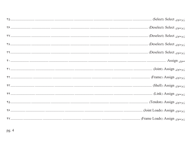| منوى Assign: شان السنان المستنسسان المستنسسان المستنسسان المستنسسان المستنسسان المستنسسان المستنسان المستنسان المستنب . ٣٠ |
|----------------------------------------------------------------------------------------------------------------------------|
|                                                                                                                            |
|                                                                                                                            |
|                                                                                                                            |
|                                                                                                                            |
|                                                                                                                            |
|                                                                                                                            |
|                                                                                                                            |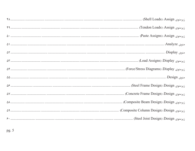| زيرمنوي Load Assigns) :Display: (Eoad Assigns).                                                                                 |
|---------------------------------------------------------------------------------------------------------------------------------|
|                                                                                                                                 |
|                                                                                                                                 |
|                                                                                                                                 |
|                                                                                                                                 |
|                                                                                                                                 |
|                                                                                                                                 |
| زيرمنوي Steel Joist Design). المستشيب المستشيب المستشيب المستشيب المستشيب المستشيب المستشيب المستشيب المستشيب المستشيب المستشيب |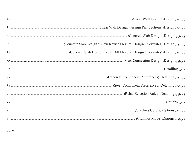| زيرمنوى Shear Wall Design : Assign Pier Sections) .Design : (Shear Wall Design : Assign Pier Sections) .Design    |
|-------------------------------------------------------------------------------------------------------------------|
|                                                                                                                   |
| زيرمنوى Design Overwrites): Design : View/Revise Flexural Design Overwrites): Design (يرمنوى P۴                   |
| زيرمنوى Design: Reset All Flexural Design Overwrites) Design: Reset All Flexural Design Overwrites: Design:       |
|                                                                                                                   |
|                                                                                                                   |
| زيرمنوى Detailing): المستسسس المستسمى المستسمس المستسمس المستسمى المستسمى المستسمى المستسمى المستسمى المستسمى     |
|                                                                                                                   |
| زيرمنوي Rebar Selection Rules) :Detailing. المستشدد السيستي المستشدد المستشدد المستشدد المستشدد المستشدد المستشدد |
|                                                                                                                   |
|                                                                                                                   |
|                                                                                                                   |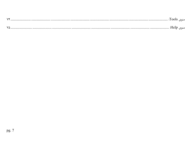| $\sqrt{r}$<br>. | .<br> |  |
|-----------------|-------|--|
| $\lambda$       |       |  |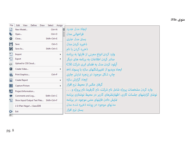منوی File:

| File     | Define<br>Edit<br>View<br>Select<br>Draw  | Assign |                                                                     |
|----------|-------------------------------------------|--------|---------------------------------------------------------------------|
|          | New Model<br>$Ctrl + N$                   | F)     | انحاد مدل حديد                                                      |
|          | $Ctrl + O$<br>Open                        |        | فراخواني مدل                                                        |
| Ø        | Shift+Ctrl+E<br>Close                     |        | ىستن مدل حارى                                                       |
| ٣        | Save<br>$Ctrl + S$                        |        | ذخيره كردن مدل                                                      |
| И        | Save As<br>Shift+Ctrl+S                   |        | ذخیره کردن با نام                                                   |
|          | Import                                    | ¥.     | وارد کردن انواع معینی از فایلها به پرنامه                           |
| ٣P       | Export                                    | Þ.     | صادر کردن اطلاعات به برنامه های دیگر                                |
| Čñ       | Upload to CSI Cloud                       |        | آیلود کردن مدل به فضای ایری شرکت CSI                                |
| ŀН       | Create Video                              | ▶      | ایجاد ویدیو از تغییرشکلهای سازه با یسوند avi                        |
| 儔        | Print Graphics<br>$Ctrl + P$              |        | چاپ شکل موجود در پنجره غایش جاری                                    |
| 圃        | <b>Create Report</b>                      | ¥.     | انجاد گزارش سازه                                                    |
| 奈        | Capture Picture                           | ¥.     | گرفتن عکس از محیط نرم افزار                                         |
| $\sigma$ | Project Information                       |        | وارد کردن مشخصات پروژه شامل نام شرکت، نام کارفرما، نام پروژه و      |
|          | Comments and Log<br>Shift+Ctrl+C          |        | نوشتن گزارشهای جلسات کاری، اظهارنظرهای کاربر در محیط نوشتاری برنامه |
| 怪        | Show Input/Output Text Files Shift+Ctrl+F |        | غایش دادن فایلهای متنی موجود در برنامه                              |
|          | 1 E:\Plan Negar\\Saze.EDB                 |        | مدلهای موجود در یوشه ذخیره شده مدل                                  |
| G        | Exit                                      |        | بستن نرم افزار                                                      |
|          |                                           |        |                                                                     |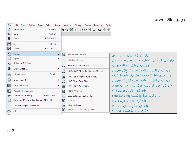| File      | Edit<br>View<br>Define<br>Select<br>Draw     | Assign | Analyze              | Display                              | Design | Detailing | Option |                                                 |
|-----------|----------------------------------------------|--------|----------------------|--------------------------------------|--------|-----------|--------|-------------------------------------------------|
|           | New Model<br>$Ctrl + N$                      |        |                      |                                      |        |           |        |                                                 |
|           | $Ctrl + O$<br>Open                           |        |                      |                                      |        |           |        |                                                 |
| Ø         | Shift+Ctrl+E<br>Close                        |        |                      |                                      |        |           |        |                                                 |
|           | Save<br>$Ctrl + S$                           |        |                      |                                      |        |           |        |                                                 |
| Н         | $Shift+Ctrl+S$<br>Save As                    |        |                      |                                      |        |           |        |                                                 |
| <b>TP</b> | Import                                       | ×.     | 靐                    | ETABS .e2k Text File                 |        |           |        | وارد کردن فایلهای متنی ایتبس                    |
| مله       | Export                                       | ▶      |                      | ETABS .edb File                      |        |           |        | قراردادن طبقه ای از فایل دیگر در محل طبقه جاری  |
| čñ        | Upload to CSI Cloud                          |        | 靐                    | Revit Structure .exr File            |        |           |        | وارد کردن فایل از پرنامه رویت                   |
| Г×І       | Create Video                                 | ٠      | $\sqrt{\frac{2}{3}}$ | .DXF/.DWG File of Architectural Plan |        |           |        | وارد کردن فایل از برنامه اتوکد برای پلان معماری |
| e         | Print Graphics<br>$Ctrl + P$                 |        |                      | .DXF File of Architectural Grids     |        |           |        | وارد کردن فایل از پرنامه اتوکد برای خطوط شبکه   |
| 圃         | <b>Create Report</b>                         | ▶      | 鷛<br>霝               | .DXF File of Floor Plan              |        |           |        | وارد کردن فایل از برنامه اتوکد برای پلان معماری |
|           | Capture Picture                              | ▶.     | 翩                    | .DXF File of 3D Model                |        |           |        | وارد کردن فایل از پرنامه اتوکد برای مدل سه بعدی |
| $\bullet$ | Project Information                          |        | 霝                    | CIS/2 STEP File                      |        |           |        | وارد کردن فایل یا فرمت CIS                      |
|           | Comments and Log<br>Shift+Ctrl+C             |        | 品                    | Steel Detailing Neutral File         |        |           |        | وارد كردن فايل با فرمت Steel Detailing          |
| P.        | Show Input/Output Text Files<br>Shift+Ctrl+F |        | 霝                    | IFC File                             |        |           |        | وارد کردن فایل یا فرمت IFC                      |
|           | 1 E:\Plan Negar\\Saze.EDB                    |        | 霝                    | IGES .igs File                       |        |           |        | وارد کردن فایل یا فرمت IGES                     |
| œ         | Exit                                         |        | 繭                    | STAAD/STRUDL .std/.gti File          |        |           |        | وارد کردن فایل یا فرمت STAAD                    |
|           |                                              |        |                      |                                      |        |           |        |                                                 |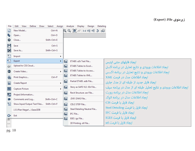| File                                                      | Edit<br>View<br>Define<br>Select<br>Assign<br>Draw |   | Analyze<br>Display                                                                                                                                        | Design | Detailing |                                                                |
|-----------------------------------------------------------|----------------------------------------------------|---|-----------------------------------------------------------------------------------------------------------------------------------------------------------|--------|-----------|----------------------------------------------------------------|
|                                                           | New Model<br>$Ctrl + N$                            |   | $\bigoplus$ $\bigoplus$ $\big[\begin{smallmatrix} 1 & 0 \\ 0 & 1 \end{smallmatrix} \big]$ . $\bigoplus$ 13-d plf elf $\bigoplus$ $\bigoplus$ $\bigotimes$ |        |           |                                                                |
|                                                           | $Ctrl + O$<br>Open                                 |   |                                                                                                                                                           |        |           |                                                                |
| $\boldsymbol{\omega}$                                     | Close<br>Shift+Ctrl+E                              |   |                                                                                                                                                           |        |           |                                                                |
| H                                                         | Save<br>$Ctrl + S$                                 |   |                                                                                                                                                           |        |           |                                                                |
| И                                                         | Save As<br>Shift+Ctrl+S                            |   |                                                                                                                                                           |        |           |                                                                |
| $\Box$                                                    | Import<br>▶                                        |   |                                                                                                                                                           |        |           |                                                                |
| Ð                                                         | Export                                             | 霝 | ETABS .e2k Text File                                                                                                                                      |        |           | ایجاد فایلهای متنی ایتیس                                       |
| čπ                                                        | Upload to CSI Cloud                                | 磊 | <b>ETABS Tables to Excel</b>                                                                                                                              |        |           | ایجاد اطلاعات ورودی و نتایج تحلیل در برنامه اکسل               |
| H                                                         | Create Video<br>×.                                 | 霝 | <b>ETABS Tables to Access</b>                                                                                                                             |        |           | ايجاد اطلاعات ورودى و نتايج تحليل در برنامه اكسس               |
| しゅうかん いっともの こうきょう こうしゃく ちょうしゃ しゅうしょう しゅうしょう ちょうしゅう しょうしゅう | Print Graphics<br>$Ctrl + P$                       | 編 | ETABS Tables to XML                                                                                                                                       |        |           | ابجاد اطلاعات مدل در فرمت XML                                  |
| 圃                                                         | Create Report<br>▶                                 | 霝 | Partial ETABS .edb File                                                                                                                                   |        |           | ایجاد فایل جدید از طبقه ای از مدل جاری                         |
| 奈                                                         | Capture Picture<br>▶                               | 霝 | Story as SAFE V12 .f2k File                                                                                                                               |        |           | ایجاد اطلاعات ورودی و نتایج تحلیل طبقه ای از مدل در برنامه سیف |
| $\sigma$                                                  | Project Information                                | 霝 | Revit Structure .exr File                                                                                                                                 |        |           | ایجاد اطلاعات مدل در برنامه رویت                               |
|                                                           | Comments and Log<br>Shift+Ctrl+C                   | 霝 | .DXF/.DWG File                                                                                                                                            |        |           | ایجاد اطلاعات مدل در برنامه اتوکد                              |
| 怛                                                         | Show Input/Output Text Files<br>Shift+Ctrl+F       | 霝 | CIS/2 STEP File                                                                                                                                           |        |           | الجاد فايل با فرمت CIS                                         |
|                                                           | 1 E:\Plan Negar\\Saze.EDB                          | 霝 | Steel Detailing Neutral File                                                                                                                              |        |           | ایجاد فایل با فرمت Steel Detailing                             |
| G                                                         | Exit                                               | 霝 | IFC File                                                                                                                                                  |        |           | ایجاد فایل با فرمت IFC                                         |
| 軍                                                         |                                                    | 霝 | IGES .igs File                                                                                                                                            |        |           | الجاد فايل با فرمت IGES                                        |
| $\mathcal{P}_{\text{top}}\mathcal{S}_n$                   |                                                    |   | 3D Printing .stl File                                                                                                                                     |        |           | ایجاد فایل با فرمت stl                                         |
|                                                           |                                                    |   |                                                                                                                                                           |        |           |                                                                |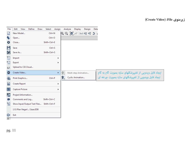**(Create Video) :File زيرمنوي**

| File                | Edit<br>View<br>Define       | Assign<br>Draw<br>Select | Analyze | <b>Display</b>                                                     | Design | Deta |                                                                                                               |
|---------------------|------------------------------|--------------------------|---------|--------------------------------------------------------------------|--------|------|---------------------------------------------------------------------------------------------------------------|
|                     | New Model                    | $Ctrl + N$               |         | $\mathcal{R} \mathbb{Q}$ $\mathbb{Z}$ / 3-d PR el $\mathfrak{I}$ / |        |      |                                                                                                               |
| $\bullet$           | Open                         | $Ctrl + O$               |         |                                                                    |        |      |                                                                                                               |
| $\bullet$           | Close                        | Shift+Ctrl+E             |         |                                                                    |        |      |                                                                                                               |
| H                   | Save                         | $Ctrl + S$               |         |                                                                    |        |      |                                                                                                               |
| И                   | Save As                      | Shift+Ctrl+S             |         |                                                                    |        |      |                                                                                                               |
| $\Box$              | Import                       | r                        |         |                                                                    |        |      |                                                                                                               |
| n                   | Export                       | ٠                        |         |                                                                    |        |      |                                                                                                               |
| čπ                  | Upload to CSI Cloud          |                          |         |                                                                    |        |      |                                                                                                               |
| G                   | Create Video                 | ×.                       | 窝,      | Multi-step Animation                                               |        |      | ایجاد فابل ویدویی از تغییرشکلهای سازه بصورت گام به گام<br>ایجاد فابل ویدویی از تغییرشکلهای سازه بصورت چرخه ای |
| €                   | Print Graphics               | $Ctrl + P$               | 鹩       | Cyclic Animation                                                   |        |      |                                                                                                               |
| 圙                   | <b>Create Report</b>         | r                        |         |                                                                    |        |      |                                                                                                               |
| $\hat{\mathcal{P}}$ | Capture Picture              | ٠                        |         |                                                                    |        |      |                                                                                                               |
| $\bullet$           | Project Information          |                          |         |                                                                    |        |      |                                                                                                               |
| ₽                   | Comments and Log             | Shift+Ctrl+C             |         |                                                                    |        |      |                                                                                                               |
| 皙                   | Show Input/Output Text Files | Shift+Ctrl+F             |         |                                                                    |        |      |                                                                                                               |
|                     | 1 E:\Plan Negar\\Saze.EDB    |                          |         |                                                                    |        |      |                                                                                                               |
| G                   | Exit                         |                          |         |                                                                    |        |      |                                                                                                               |
|                     |                              |                          |         |                                                                    |        |      |                                                                                                               |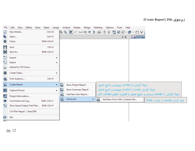**(Create Report) :File زيرمنوي**

| File                  | Edit<br>View<br>Define<br>Draw | Assign<br>Select |         | Analyze                                              | Display             | Design | Detailing   | Options | Tools                          | Help               |                                                  |                                                                         |  |
|-----------------------|--------------------------------|------------------|---------|------------------------------------------------------|---------------------|--------|-------------|---------|--------------------------------|--------------------|--------------------------------------------------|-------------------------------------------------------------------------|--|
|                       | New Model                      | $Ctrl + N$       |         | ऻॖॖऀऀॱऻॎॱॱऻॳॳॏॳॏॳॳॖऻ <del>ऻॖ</del> ऻख़ख़ऻख़ख़ऻख़ऻॻऻॳ |                     |        |             |         |                                |                    |                                                  |                                                                         |  |
| $\bullet$             | Open                           | $Ctrl + O$       |         |                                                      |                     |        |             |         |                                | $\bullet$ $\times$ | 3-D View                                         |                                                                         |  |
| $\boldsymbol{\sigma}$ | Close                          | Shift+Ctrl+E     |         |                                                      |                     |        |             |         |                                |                    |                                                  |                                                                         |  |
| H                     | Save                           | $Ctrl + S$       |         |                                                      |                     |        |             |         |                                |                    |                                                  |                                                                         |  |
| И                     | Save As                        | Shift+Ctrl+S     |         |                                                      |                     |        |             |         |                                |                    |                                                  |                                                                         |  |
| n                     | Import                         |                  | ▶       |                                                      |                     |        |             |         |                                |                    |                                                  |                                                                         |  |
| ↑                     | Export                         |                  | ▶       |                                                      |                     |        |             |         |                                |                    |                                                  |                                                                         |  |
| čπ                    | Upload to CSI Cloud            |                  |         |                                                      |                     |        |             |         |                                |                    |                                                  |                                                                         |  |
| Н                     | Create Video                   |                  | ▶       |                                                      |                     |        |             |         |                                |                    |                                                  |                                                                         |  |
| €                     | Print Graphics                 | $Ctrl + P$       |         |                                                      |                     |        |             |         |                                |                    |                                                  |                                                                         |  |
| $\square$             | Create Report                  |                  | Q.      | Show Project Report                                  |                     |        |             |         |                                |                    | ایجاد گزارش از اطلاعات ورودی و نتایج تحلیل       |                                                                         |  |
| $\mathbb{R}^2$        | Capture Picture                |                  | Q,<br>▶ | Show Summary Report                                  |                     |        |             |         |                                |                    | ایجاد گزارش خلاصه از اطلاعات ورودی و نتایج تحلیل |                                                                         |  |
| p.                    | Project Information            |                  | 鷗       |                                                      | Add New User Report |        |             |         |                                |                    |                                                  | ايجاد گزارش از اطلاعات ورودي و نتايج تحليل با قابليت تنظيم اطلاعات لازم |  |
|                       | Comments and Log               | Shift+Ctrl+C     | 鷗       | Advanced                                             |                     | ×.     | <b>Juli</b> |         | Add New From XML Contents File |                    |                                                  | وارد كردن اطلاعات از فرمت XML                                           |  |
| 怛                     | Show Input/Output Text Files   | Shift+Ctrl+F     |         |                                                      |                     |        |             |         |                                |                    |                                                  |                                                                         |  |
|                       | 1 E:\Plan Negar\\Saze.EDB      |                  |         |                                                      |                     |        |             |         |                                |                    |                                                  |                                                                         |  |
| G                     | Exit                           |                  |         |                                                      |                     |        |             |         |                                |                    |                                                  |                                                                         |  |